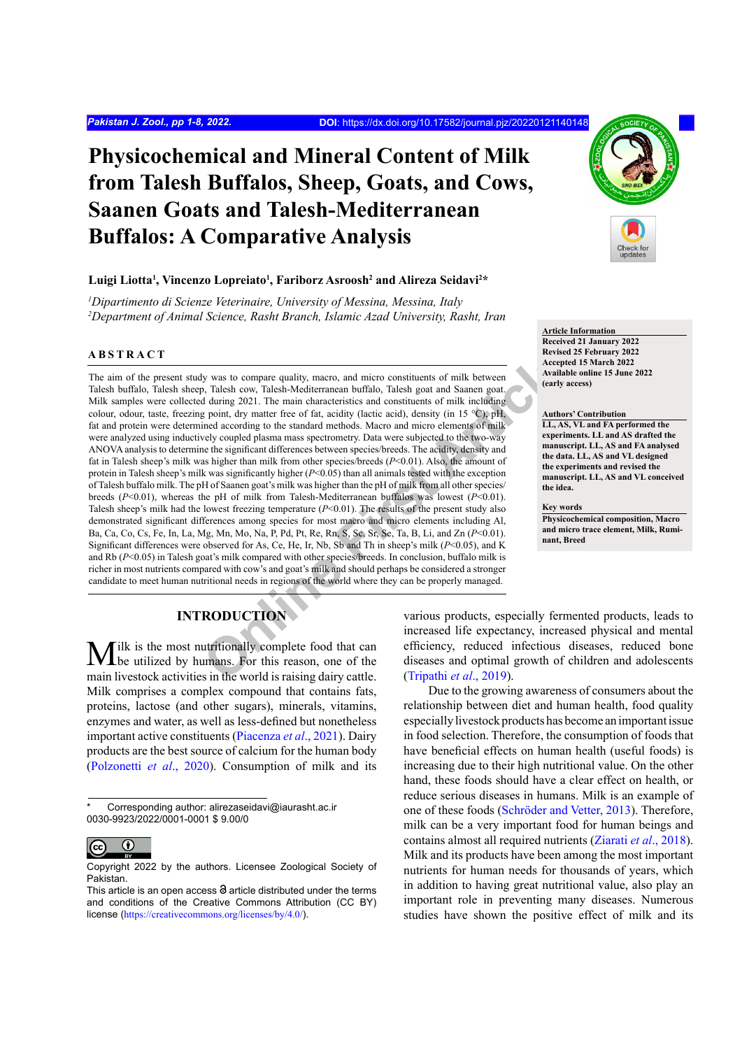# **Physicochemical and Mineral Content of Milk from Talesh Buffalos, Sheep, Goats, and Cows, Saanen Goats and Talesh-Mediterranean Buffalos: A Comparative Analysis**

# $\bf{L}$ uigi Liotta<sup>1</sup>, Vincenzo Lopreiato<sup>1</sup>, Fariborz Asroosh<sup>2</sup> and Alireza Seidavi<sup>2\*</sup>

*1 Dipartimento di Scienze Veterinaire, University of Messina, Messina, Italy 2 Department of Animal Science, Rasht Branch, Islamic Azad University, Rasht, Iran*

# **ABSTRACT**

**Online First Article** The aim of the present study was to compare quality, macro, and micro constituents of milk between Talesh buffalo, Talesh sheep, Talesh cow, Talesh-Mediterranean buffalo, Talesh goat and Saanen goat. Milk samples were collected during 2021. The main characteristics and constituents of milk including colour, odour, taste, freezing point, dry matter free of fat, acidity (lactic acid), density (in 15 °C), pH, fat and protein were determined according to the standard methods. Macro and micro elements of milk were analyzed using inductively coupled plasma mass spectrometry. Data were subjected to the two-way ANOVA analysis to determine the significant differences between species/breeds. The acidity, density and fat in Talesh sheep's milk was higher than milk from other species/breeds (*P*<0.01). Also, the amount of protein in Talesh sheep's milk was significantly higher (*P*<0.05) than all animals tested with the exception of Talesh buffalo milk. The pH of Saanen goat's milk was higher than the pH of milk from all other species/ breeds (*P*<0.01), whereas the pH of milk from Talesh-Mediterranean buffalos was lowest (*P*<0.01). Talesh sheep's milk had the lowest freezing temperature  $(P<0.01)$ . The results of the present study also demonstrated significant differences among species for most macro and micro elements including Al, Ba, Ca, Co, Cs, Fe, In, La, Mg, Mn, Mo, Na, P, Pd, Pt, Re, Rn, S, Sc, Sr, Se, Ta, B, Li, and Zn (*P*<0.01). Significant differences were observed for As, Ce, He, Ir, Nb, Sb and Th in sheep's milk (*P*<0.05), and K and Rb (*P*<0.05) in Talesh goat's milk compared with other species/breeds. In conclusion, buffalo milk is richer in most nutrients compared with cow's and goat's milk and should perhaps be considered a stronger candidate to meet human nutritional needs in regions of the world where they can be properly managed.

**Article Information Received 21 January 2022 Revised 25 February 2022 Accepted 15 March 2022 Available online 15 June 2022 (early access)**

#### **Authors' Contribution**

**LL, AS, VL and FA performed the experiments. LL and AS drafted the manuscript. LL, AS and FA analysed the data. LL, AS and VL designed the experiments and revised the manuscript. LL, AS and VL conceived the idea.**

#### **Key words**

**Physicochemical composition, Macro and micro trace element, Milk, Ruminant, Breed**

# **INTRODUCTION**

Milk is the most nutritionally complete food that can be utilized by humans. For this reason, one of the main livestock activities in the world is raising dairy cattle. Milk comprises a complex compound that contains fats, proteins, lactose (and other sugars), minerals, vitamins, enzymes and water, as well as less-defined but nonetheless important active constituents ([Piacenza](#page-7-0) *et al*., 2021). Dairy products are the best source of calcium for the human body [\(Polzonetti](#page-7-1) *et al*., 2020). Consumption of milk and its

Corresponding author: alirezaseidavi@iaurasht.ac.ir 0030-9923/2022/0001-0001 \$ 9.00/0



Copyright 2022 by the authors. Licensee Zoological Society of Pakistan.

various products, especially fermented products, leads to increased life expectancy, increased physical and mental efficiency, reduced infectious diseases, reduced bone diseases and optimal growth of children and adolescents (Tripathi *et al*., 2019).

Due to the growing awareness of consumers about the relationship between diet and human health, food quality especially livestock products has become an important issue in food selection. Therefore, the consumption of foods that have beneficial effects on human health (useful foods) is increasing due to their high nutritional value. On the other hand, these foods should have a clear effect on health, or reduce serious diseases in humans. Milk is an example of one of these foods (Schröder and Vetter, 2013). Therefore, milk can be a very important food for human beings and contains almost all required nutrients [\(Ziarati](#page-7-3) *et al*., 2018). Milk and its products have been among the most important nutrients for human needs for thousands of years, which in addition to having great nutritional value, also play an important role in preventing many diseases. Numerous studies have shown the positive effect of milk and its

This article is an open access  $\Theta$  article distributed under the terms and conditions of the Creative Commons Attribution (CC BY) license (<https://creativecommons.org/licenses/by/4.0/>).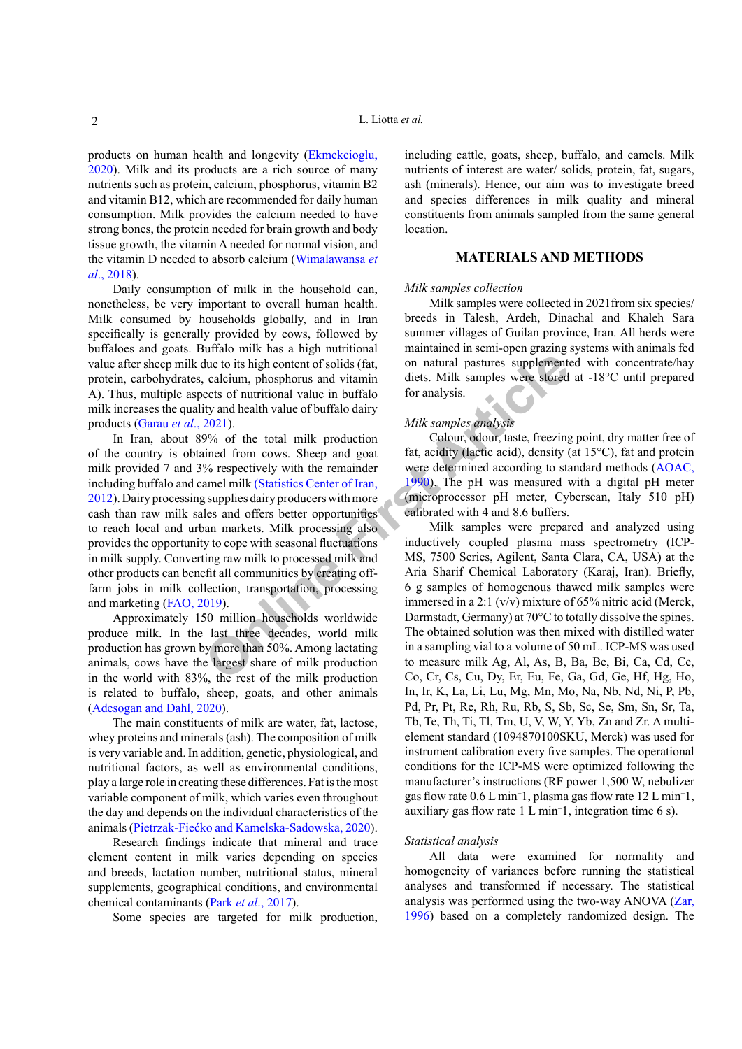L. Liotta *et al.*

products on human health and longevity [\(Ekmekcioglu,](#page-6-0) [2020\)](#page-6-0). Milk and its products are a rich source of many nutrients such as protein, calcium, phosphorus, vitamin B2 and vitamin B12, which are recommended for daily human consumption. Milk provides the calcium needed to have strong bones, the protein needed for brain growth and body tissue growth, the vitamin A needed for normal vision, and the vitamin D needed to absorb calcium ([Wimalawansa](#page-7-4) *et al*[., 2018\)](#page-7-4).

Daily consumption of milk in the household can, nonetheless, be very important to overall human health. Milk consumed by households globally, and in Iran specifically is generally provided by cows, followed by buffaloes and goats. Buffalo milk has a high nutritional value after sheep milk due to its high content of solids (fat, protein, carbohydrates, calcium, phosphorus and vitamin A). Thus, multiple aspects of nutritional value in buffalo milk increases the quality and health value of buffalo dairy products (Garau *et al*., 2021).

The total is the total is the total is the total is the total is the total is the total vidue in buffalo dairy<br>
Online and vidual in the total with the total vidual in the total of the total vidual in the total of the tota In Iran, about 89% of the total milk production of the country is obtained from cows. Sheep and goat milk provided 7 and 3% respectively with the remainder including buffalo and camel milk (Statistics Center of Iran, [2012\)](#page-7-5). Dairy processing supplies dairy producers with more cash than raw milk sales and offers better opportunities to reach local and urban markets. Milk processing also provides the opportunity to cope with seasonal fluctuations in milk supply. Converting raw milk to processed milk and other products can benefit all communities by creating offfarm jobs in milk collection, transportation, processing and marketing [\(FAO, 2019](#page-6-2)).

Approximately 150 million households worldwide produce milk. In the last three decades, world milk production has grown by more than 50%. Among lactating animals, cows have the largest share of milk production in the world with 83%, the rest of the milk production is related to buffalo, sheep, goats, and other animals [\(Adesogan and Dahl, 2020\)](#page-6-3).

The main constituents of milk are water, fat, lactose, whey proteins and minerals (ash). The composition of milk is very variable and. In addition, genetic, physiological, and nutritional factors, as well as environmental conditions, play a large role in creating these differences. Fat is the most variable component of milk, which varies even throughout the day and depends on the individual characteristics of the animals (Pietrzak-Fiećko and Kamelska-Sadowska, 2020).

Research findings indicate that mineral and trace element content in milk varies depending on species and breeds, lactation number, nutritional status, mineral supplements, geographical conditions, and environmental chemical contaminants (Park *et al*[., 2017](#page-7-6)).

Some species are targeted for milk production,

including cattle, goats, sheep, buffalo, and camels. Milk nutrients of interest are water/ solids, protein, fat, sugars, ash (minerals). Hence, our aim was to investigate breed and species differences in milk quality and mineral constituents from animals sampled from the same general location.

# **MATERIALS AND METHODS**

### *Milk samples collection*

Milk samples were collected in 2021from six species/ breeds in Talesh, Ardeh, Dinachal and Khaleh Sara summer villages of Guilan province, Iran. All herds were maintained in semi-open grazing systems with animals fed on natural pastures supplemented with concentrate/hay diets. Milk samples were stored at -18°C until prepared for analysis.

# *Milk samples analysis*

Colour, odour, taste, freezing point, dry matter free of fat, acidity (lactic acid), density (at 15°C), fat and protein were determined according to standard methods [\(AOAC,](#page-6-4) 1990). The pH was measured with a digital pH meter (microprocessor pH meter, Cyberscan, Italy 510 pH) calibrated with 4 and 8.6 buffers.

Milk samples were prepared and analyzed using inductively coupled plasma mass spectrometry (ICP-MS, 7500 Series, Agilent, Santa Clara, CA, USA) at the Aria Sharif Chemical Laboratory (Karaj, Iran). Briefly, 6 g samples of homogenous thawed milk samples were immersed in a 2:1 (v/v) mixture of 65% nitric acid (Merck, Darmstadt, Germany) at 70°C to totally dissolve the spines. The obtained solution was then mixed with distilled water in a sampling vial to a volume of 50 mL. ICP-MS was used to measure milk Ag, Al, As, B, Ba, Be, Bi, Ca, Cd, Ce, Co, Cr, Cs, Cu, Dy, Er, Eu, Fe, Ga, Gd, Ge, Hf, Hg, Ho, In, Ir, K, La, Li, Lu, Mg, Mn, Mo, Na, Nb, Nd, Ni, P, Pb, Pd, Pr, Pt, Re, Rh, Ru, Rb, S, Sb, Sc, Se, Sm, Sn, Sr, Ta, Tb, Te, Th, Ti, Tl, Tm, U, V, W, Y, Yb, Zn and Zr. A multielement standard (1094870100SKU, Merck) was used for instrument calibration every five samples. The operational conditions for the ICP-MS were optimized following the manufacturer's instructions (RF power 1,500 W, nebulizer gas flow rate 0.6 L min− 1, plasma gas flow rate 12 L min− 1, auxiliary gas flow rate 1 L min− 1, integration time 6 s).

#### *Statistical analysis*

All data were examined for normality and homogeneity of variances before running the statistical analyses and transformed if necessary. The statistical analysis was performed using the two-way ANOVA [\(Zar,](#page-7-7) [1996](#page-7-7)) based on a completely randomized design. The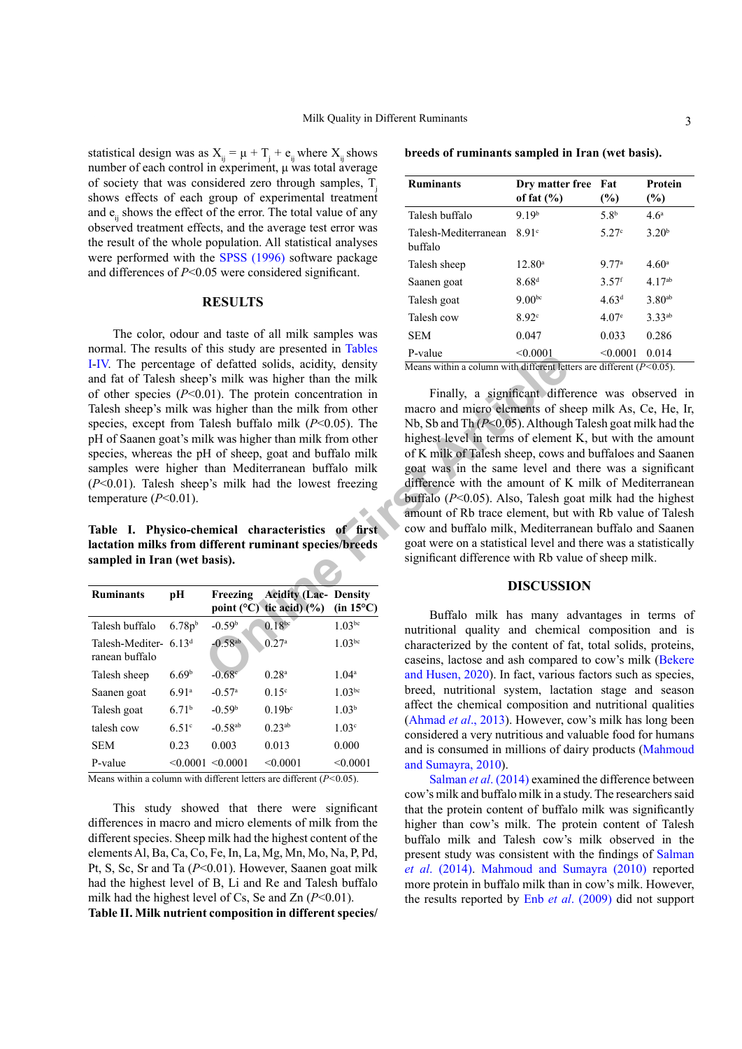statistical design was as  $X_{ij} = \mu + T_j + e_{ij}$  where  $X_{ij}$  shows number of each control in experiment, μ was total average of society that was considered zero through samples, T shows effects of each group of experimental treatment and e. shows the effect of the error. The total value of any observed treatment effects, and the average test error was the result of the whole population. All statistical analyses were performed with the [SPSS \(1996\)](#page-7-5) software package and differences of *P*<0.05 were considered significant.

# **RESULTS**

The color, odour and taste of all milk samples was normal. The results of this study are presented in [Tables](#page-2-0) [I](#page-2-0)[-IV.](#page-3-0) The percentage of defatted solids, acidity, density and fat of Talesh sheep's milk was higher than the milk of other species (*P*<0.01). The protein concentration in Talesh sheep's milk was higher than the milk from other species, except from Talesh buffalo milk (*P*<0.05). The pH of Saanen goat's milk was higher than milk from other species, whereas the pH of sheep, goat and buffalo milk samples were higher than Mediterranean buffalo milk (*P*<0.01). Talesh sheep's milk had the lowest freezing temperature (*P*<0.01).

<span id="page-2-0"></span>**Table I. Physico-chemical characteristics of first lactation milks from different ruminant species/breeds sampled in Iran (wet basis).**

| <b>Ruminants</b>                          | pН                 | Freezing                  | <b>Acidity (Lac- Density</b><br>point ( ${}^{\circ}$ C) tic acid) (%) | $(in 15^{\circ}C)$ |
|-------------------------------------------|--------------------|---------------------------|-----------------------------------------------------------------------|--------------------|
| Talesh buffalo                            | 6.78p <sup>b</sup> | $-0.59b$                  | $0.18^{bc}$                                                           | $1.03^{bc}$        |
| Talesh-Mediter- $6.13d$<br>ranean buffalo |                    | $-0.58^{ab}$              | 0.27 <sup>a</sup>                                                     | $1.03^{bc}$        |
| Talesh sheep                              | 6.69 <sup>b</sup>  | $-0.68c$                  | 0.28 <sup>a</sup>                                                     | 1.04 <sup>a</sup>  |
| Saanen goat                               | 691 <sup>a</sup>   | $-0.57$ <sup>a</sup>      | 0.15 <sup>c</sup>                                                     | 1.03 <sup>bc</sup> |
| Talesh goat                               | 671 <sup>b</sup>   | $-0.59b$                  | 0.19 <sup>b</sup>                                                     | 1.03 <sup>b</sup>  |
| talesh cow                                | 6.51c              | $-0.58^{ab}$              | $0.23^{ab}$                                                           | 1.03 <sup>c</sup>  |
| <b>SEM</b>                                | 0.23               | 0.003                     | 0.013                                                                 | 0.000              |
| P-value                                   |                    | $\leq 0.0001 \leq 0.0001$ | < 0.0001                                                              | < 0.0001           |

Means within a column with different letters are different (*P<*0.05).

This study showed that there were significant differences in macro and micro elements of milk from the different species. Sheep milk had the highest content of the elements Al, Ba, Ca, Co, Fe, In, La, Mg, Mn, Mo, Na, P, Pd, Pt, S, Sc, Sr and Ta (*P*<0.01). However, Saanen goat milk had the highest level of B, Li and Re and Talesh buffalo milk had the highest level of Cs, Se and Zn (*P*<0.01). **Table II. Milk nutrient composition in different species/**

**breeds of ruminants sampled in Iran (wet basis).**

| <b>Ruminants</b>                                                        | Dry matter free<br>of fat $(\% )$ | Fat<br>(%)          | <b>Protein</b><br>(%) |  |  |  |  |  |
|-------------------------------------------------------------------------|-----------------------------------|---------------------|-----------------------|--|--|--|--|--|
| Talesh buffalo                                                          | 919 <sup>b</sup>                  | 5.8 <sup>b</sup>    | 4.6 <sup>a</sup>      |  |  |  |  |  |
| Talesh-Mediterranean<br>buffalo                                         | 8.91c                             | 5.27c               | 3.20 <sup>b</sup>     |  |  |  |  |  |
| Talesh sheep                                                            | $12.80^a$                         | 9.77 <sup>a</sup>   | 4.60 <sup>a</sup>     |  |  |  |  |  |
| Saanen goat                                                             | 8.68 <sup>d</sup>                 | $3.57$ <sup>f</sup> | $4.17^{ab}$           |  |  |  |  |  |
| Talesh goat                                                             | 9.00 <sub>pc</sub>                | 4.63 <sup>d</sup>   | 3.80 <sup>ab</sup>    |  |  |  |  |  |
| Talesh cow                                                              | 8.92c                             | 4.07e               | 3.33 <sup>ab</sup>    |  |  |  |  |  |
| <b>SEM</b>                                                              | 0.047                             | 0.033               | 0.286                 |  |  |  |  |  |
| P-value                                                                 | < 0.0001                          | < 0.0001            | 0.014                 |  |  |  |  |  |
| Means within a column with different letters are different $(P<0.05)$ . |                                   |                     |                       |  |  |  |  |  |

From the minimum of the minimum of the same than the minimum of the same of defatted solids, acidity, density<br>
(1). The protein concentration in Finally, a significant different lett<br>
(1). The protein concentration in Fina Finally, a significant difference was observed in macro and micro elements of sheep milk As, Ce, He, Ir, Nb, Sb and Th (*P*<0.05). Although Talesh goat milk had the highest level in terms of element K, but with the amount of K milk of Talesh sheep, cows and buffaloes and Saanen goat was in the same level and there was a significant difference with the amount of K milk of Mediterranean buffalo (*P*<0.05). Also, Talesh goat milk had the highest amount of Rb trace element, but with Rb value of Talesh cow and buffalo milk, Mediterranean buffalo and Saanen goat were on a statistical level and there was a statistically significant difference with Rb value of sheep milk.

# **DISCUSSION**

Buffalo milk has many advantages in terms of nutritional quality and chemical composition and is characterized by the content of fat, total solids, proteins, caseins, lactose and ash compared to cow's milk ([Bekere](#page-6-5) and Husen, 2020). In fact, various factors such as species, breed, nutritional system, lactation stage and season affect the chemical composition and nutritional qualities [\(Ahmad](#page-6-4) *et al*., 2013). However, cow's milk has long been considered a very nutritious and valuable food for humans and is consumed in millions of dairy products [\(Mahmoud](#page-7-8) [and Sumayra, 2010](#page-7-8)).

[Salman](#page-7-9) *et al*. (2014) examined the difference between cow's milk and buffalo milk in a study. The researchers said that the protein content of buffalo milk was significantly higher than cow's milk. The protein content of Talesh buffalo milk and Talesh cow's milk observed in the present study was consistent with the findings of [Salman](#page-7-9) *et al*[. \(2014\)](#page-7-9). [Mahmoud and Sumayra \(2010\)](#page-7-8) reported more protein in buffalo milk than in cow's milk. However, the results reported by Enb *et al*[. \(2009\)](#page-6-6) did not support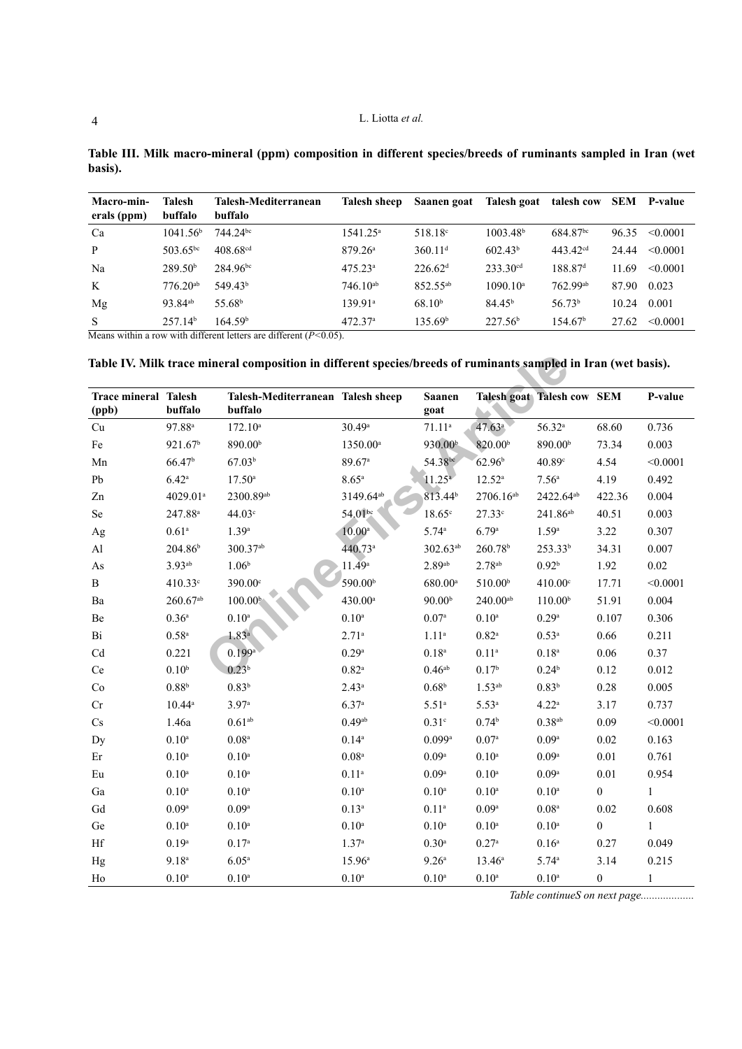|         | Table III. Milk macro-mineral (ppm) composition in different species/breeds of ruminants sampled in Iran (wet |  |  |  |  |
|---------|---------------------------------------------------------------------------------------------------------------|--|--|--|--|
| basis). |                                                                                                               |  |  |  |  |

| Macro-min-<br>erals (ppm) | <b>Talesh</b><br>buffalo | Talesh-Mediterranean<br>buffalo | Talesh sheep        | Saanen goat          | Talesh goat            | talesh cow             | SEM   | <b>P-value</b> |
|---------------------------|--------------------------|---------------------------------|---------------------|----------------------|------------------------|------------------------|-------|----------------|
| Ca                        | $1041.56^{\circ}$        | 744.24 <sup>bc</sup>            | $1541.25^a$         | 518.18 <sup>c</sup>  | 1003.48 <sup>b</sup>   | 684.87 <sup>bc</sup>   | 96.35 | < 0.0001       |
| P                         | $503.65^{bc}$            | $408.68$ <sup>cd</sup>          | 879.26 <sup>a</sup> | 360.11 <sup>d</sup>  | 602.43 <sup>b</sup>    | $443.42$ <sup>cd</sup> | 24.44 | < 0.0001       |
| Na                        | 289.50 <sup>b</sup>      | 284.96 <sup>bc</sup>            | $475.23^a$          | 226.62 <sup>d</sup>  | $233.30$ <sup>cd</sup> | 188.87 <sup>d</sup>    | 11.69 | < 0.0001       |
| K                         | $776.20^{ab}$            | 549.43 <sup>b</sup>             | $746.10^{ab}$       | 852.55 <sup>ab</sup> | 1090.10 <sup>a</sup>   | $762.99$ <sup>ab</sup> | 87.90 | 0.023          |
| Mg                        | 93.84 <sup>ab</sup>      | 55.68 <sup>b</sup>              | 139.91 <sup>a</sup> | 68.10 <sup>b</sup>   | 84.45 <sup>b</sup>     | 56.73 <sup>b</sup>     | 10.24 | 0.001          |
| S                         | 257.14 <sup>b</sup>      | 164.59 <sup>b</sup>             | 472.37 <sup>a</sup> | 135.69 <sup>b</sup>  | $227.56^{\rm b}$       | 154.67 <sup>b</sup>    | 27.62 | < 0.0001       |

Means within a row with different letters are different (*P<*0.05).

**Table IV. Milk trace mineral composition in different species/breeds of ruminants sampled in Iran (wet basis).**

<span id="page-3-0"></span>

|                                      |                      | Table IV. Milk trace mineral composition in different species/breeds of ruminants sampled in Iran (wet basis). |                       |                       |                       |                                   |                  |              |
|--------------------------------------|----------------------|----------------------------------------------------------------------------------------------------------------|-----------------------|-----------------------|-----------------------|-----------------------------------|------------------|--------------|
| <b>Trace mineral Talesh</b><br>(ppb) | buffalo              | Talesh-Mediterranean Talesh sheep<br>buffalo                                                                   |                       | <b>Saanen</b><br>goat |                       | <b>Talesh goat Talesh cow SEM</b> |                  | P-value      |
| Cu                                   | $97.88$ <sup>a</sup> | $172.10^a$                                                                                                     | 30.49a                | $71.11^{a}$           | 47.63 <sup>a</sup>    | $56.32^{a}$                       | 68.60            | 0.736        |
| Fe                                   | 921.67 <sup>b</sup>  | 890.00 <sup>b</sup>                                                                                            | 1350.00 <sup>a</sup>  | 930.00 <sup>b</sup>   | 820.00 <sup>b</sup>   | 890.00 <sup>b</sup>               | 73.34            | 0.003        |
| Mn                                   | 66.47 <sup>b</sup>   | 67.03 <sup>b</sup>                                                                                             | 89.67 <sup>a</sup>    | 54.38bc               | 62.96 <sup>b</sup>    | 40.89c                            | 4.54             | < 0.0001     |
| ${\rm Pb}$                           | $6.42^{\rm a}$       | $17.50^{\circ}$                                                                                                | 8.65 <sup>a</sup>     | 11.25 <sup>a</sup>    | $12.52^a$             | 7.56 <sup>a</sup>                 | 4.19             | 0.492        |
| Zn                                   | 4029.01 <sup>a</sup> | 2300.89ab                                                                                                      | 3149.64 <sup>ab</sup> | 813.44 <sup>b</sup>   | 2706.16 <sup>ab</sup> | 2422.64 <sup>ab</sup>             | 422.36           | 0.004        |
| Se                                   | 247.88 <sup>a</sup>  | 44.03 <sup>c</sup>                                                                                             | 54.01 <sup>bc</sup>   | 18.65c                | 27.33c                | 241.86 <sup>ab</sup>              | 40.51            | 0.003        |
| Ag                                   | 0.61 <sup>a</sup>    | $1.39^{a}$                                                                                                     | $10.00^{\circ}$       | 5.74a                 | 6.79a                 | $1.59^{a}$                        | 3.22             | 0.307        |
| Al                                   | 204.86 <sup>b</sup>  | 300.37ab                                                                                                       | 440.73ª               | $302.63^{ab}$         | 260.78 <sup>b</sup>   | 253.33 <sup>b</sup>               | 34.31            | 0.007        |
| As                                   | $3.93^{ab}$          | $1.06^{\rm b}$                                                                                                 | $11.49^a$             | $2.89$ <sup>ab</sup>  | 2.78 <sup>ab</sup>    | 0.92 <sup>b</sup>                 | 1.92             | 0.02         |
| $\, {\bf B}$                         | 410.33c              | 390.00°                                                                                                        | 590.00 <sup>b</sup>   | 680.00 <sup>a</sup>   | 510.00 <sup>b</sup>   | 410.00°                           | 17.71            | < 0.0001     |
| Ba                                   | $260.67^{ab}$        | 100.00 <sup>b</sup>                                                                                            | 430.00 <sup>a</sup>   | 90.00 <sup>b</sup>    | $240.00^{ab}$         | 110.00 <sup>b</sup>               | 51.91            | 0.004        |
| Be                                   | 0.36 <sup>a</sup>    | $0.10^{a}$                                                                                                     | 0.10 <sup>a</sup>     | 0.07 <sup>a</sup>     | 0.10 <sup>a</sup>     | 0.29a                             | 0.107            | 0.306        |
| Bi                                   | $0.58$ <sup>a</sup>  | $1.83^{a}$                                                                                                     | $2.71^{a}$            | $1.11^{a}$            | $0.82^{\rm a}$        | $0.53^{a}$                        | 0.66             | 0.211        |
| Cd                                   | 0.221                | $0.199$ <sup>a</sup>                                                                                           | 0.29a                 | $0.18^{\rm a}$        | $0.11^{a}$            | 0.18 <sup>a</sup>                 | 0.06             | 0.37         |
| $\rm{Ce}$                            | 0.10 <sup>b</sup>    | $0.23^{b}$                                                                                                     | $0.82^{\rm a}$        | 0.46 <sup>ab</sup>    | 0.17 <sup>b</sup>     | $0.24^{\rm b}$                    | 0.12             | 0.012        |
| Co                                   | 0.88 <sup>b</sup>    | $0.83^{b}$                                                                                                     | $2.43^a$              | 0.68 <sup>b</sup>     | $1.53^{ab}$           | 0.83 <sup>b</sup>                 | 0.28             | 0.005        |
| Cr                                   | $10.44^a$            | 3.97a                                                                                                          | 6.37a                 | 5.51 <sup>a</sup>     | $5.53^{a}$            | 4.22 <sup>a</sup>                 | 3.17             | 0.737        |
| Cs                                   | 1.46a                | $0.61^{\rm ab}$                                                                                                | 0.49 <sup>ab</sup>    | 0.31 <sup>c</sup>     | $0.74^{\rm b}$        | $0.38^{ab}$                       | 0.09             | < 0.0001     |
| Dy                                   | 0.10 <sup>a</sup>    | $0.08^{\rm a}$                                                                                                 | $0.14^{a}$            | $0.099$ <sup>a</sup>  | 0.07 <sup>a</sup>     | 0.09 <sup>a</sup>                 | 0.02             | 0.163        |
| $\mathop{\rm Er}\nolimits$           | $0.10^{\rm a}$       | 0.10 <sup>a</sup>                                                                                              | $0.08^{\rm a}$        | 0.09 <sup>a</sup>     | 0.10 <sup>a</sup>     | 0.09 <sup>a</sup>                 | $0.01\,$         | 0.761        |
| Eu                                   | 0.10 <sup>a</sup>    | 0.10 <sup>a</sup>                                                                                              | $0.11^{a}$            | 0.09 <sup>a</sup>     | 0.10 <sup>a</sup>     | 0.09 <sup>a</sup>                 | $0.01\,$         | 0.954        |
| Ga                                   | $0.10^{\rm a}$       | 0.10 <sup>a</sup>                                                                                              | $0.10^{\rm a}$        | $0.10^{\rm a}$        | $0.10^{\rm a}$        | $0.10^{\rm a}$                    | $\boldsymbol{0}$ | $\mathbf{1}$ |
| Gd                                   | 0.09 <sup>a</sup>    | 0.09 <sup>a</sup>                                                                                              | $0.13^{a}$            | $0.11^{a}$            | 0.09 <sup>a</sup>     | $0.08^{\rm a}$                    | 0.02             | 0.608        |
| Ge                                   | 0.10 <sup>a</sup>    | 0.10 <sup>a</sup>                                                                                              | 0.10 <sup>a</sup>     | 0.10 <sup>a</sup>     | $0.10^{\rm a}$        | 0.10 <sup>a</sup>                 | $\boldsymbol{0}$ | $\mathbf{1}$ |
| $\rm Hf$                             | 0.19 <sup>a</sup>    | 0.17 <sup>a</sup>                                                                                              | 1.37 <sup>a</sup>     | $0.30$ <sup>a</sup>   | $0.27^{\rm a}$        | 0.16 <sup>a</sup>                 | 0.27             | 0.049        |
| Hg                                   | $9.18^{\rm a}$       | 6.05 <sup>a</sup>                                                                                              | $15.96^{\circ}$       | 9.26 <sup>a</sup>     | $13.46^a$             | 5.74a                             | 3.14             | 0.215        |
| Ho                                   | $0.10^{\rm a}$       | 0.10 <sup>a</sup>                                                                                              | 0.10 <sup>a</sup>     | $0.10^{\rm a}$        | $0.10^{\rm a}$        | $0.10^{\rm a}$                    | $\boldsymbol{0}$ | $\mathbf{1}$ |

*Table continueS on next page...................*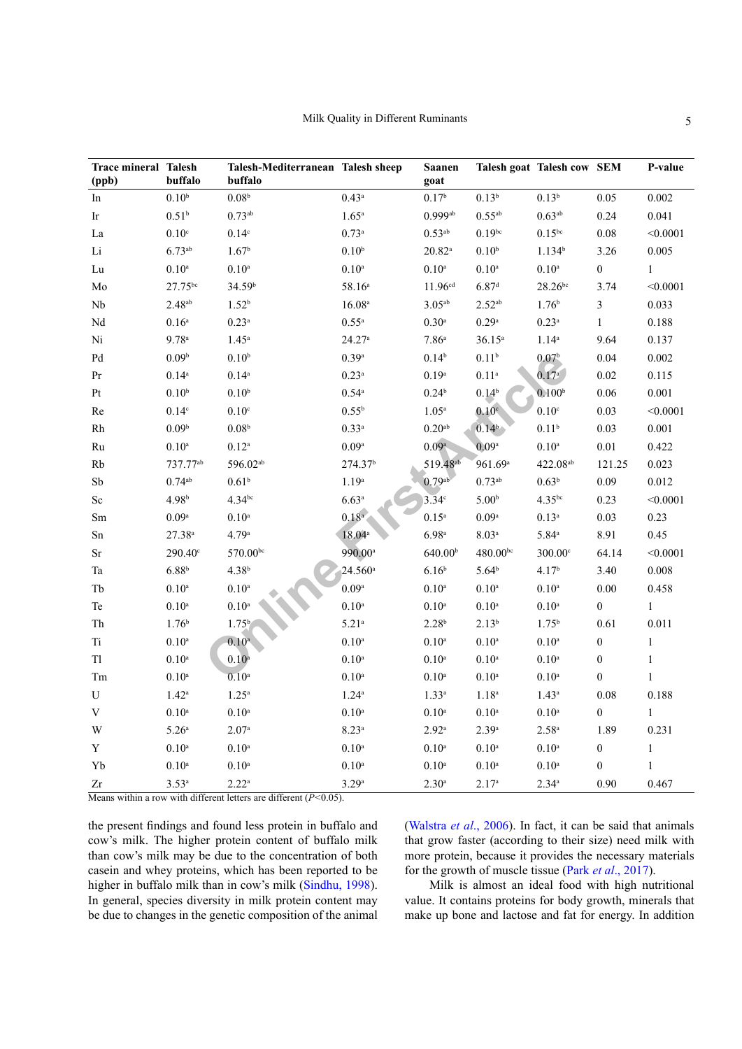| <b>Trace mineral Talesh</b><br>(ppb) | buffalo              | Talesh-Mediterranean Talesh sheep<br>buffalo                                         |                     | <b>Saanen</b><br>goat |                     | Talesh goat Talesh cow SEM |                  | P-value      |
|--------------------------------------|----------------------|--------------------------------------------------------------------------------------|---------------------|-----------------------|---------------------|----------------------------|------------------|--------------|
| In                                   | 0.10 <sup>b</sup>    | $0.08^{\rm b}$                                                                       | $0.43^{\rm a}$      | 0.17 <sup>b</sup>     | $0.13^{b}$          | $0.13^{b}$                 | 0.05             | 0.002        |
| Ir                                   | 0.51 <sup>b</sup>    | $0.73$ <sup>ab</sup>                                                                 | $1.65^{\rm a}$      | $0.999$ <sup>ab</sup> | $0.55^{\rm ab}$     | $0.63^{ab}$                | 0.24             | 0.041        |
| La                                   | $0.10^{\circ}$       | $0.14^{\circ}$                                                                       | $0.73^{\rm a}$      | $0.53^{ab}$           | $0.19^{bc}$         | $0.15^{bc}$                | 0.08             | < 0.0001     |
| $\rm Li$                             | $6.73^{ab}$          | 1.67 <sup>b</sup>                                                                    | $0.10^{\rm b}$      | $20.82^\mathrm{a}$    | $0.10^{\rm b}$      | $1.134^{b}$                | 3.26             | 0.005        |
| Lu                                   | $0.10^{\rm a}$       | $0.10^{\rm a}$                                                                       | $0.10^{\rm a}$      | $0.10^a$              | $0.10^{\rm a}$      | $0.10^{\rm a}$             | $\boldsymbol{0}$ | $\mathbf{1}$ |
| $\rm Mo$                             | 27.75bc              | 34.59 <sup>b</sup>                                                                   | 58.16 <sup>a</sup>  | 11.96 <sup>cd</sup>   | 6.87 <sup>d</sup>   | $28.26^{bc}$               | 3.74             | < 0.0001     |
| ${\rm Nb}$                           | $2.48^{ab}$          | 1.52 <sup>b</sup>                                                                    | $16.08a$            | $3.05^{ab}$           | $2.52^{ab}$         | $1.76^{\rm b}$             | $\overline{3}$   | 0.033        |
| $\rm Nd$                             | $0.16^{\rm a}$       | $0.23$ <sup>a</sup>                                                                  | $0.55^{\rm a}$      | $0.30^{\rm a}$        | $0.29^{\rm a}$      | $0.23$ <sup>a</sup>        | $\mathbf{1}$     | 0.188        |
| Ni                                   | 9.78 <sup>a</sup>    | $1.45^{\rm a}$                                                                       | 24.27a              | 7.86 <sup>a</sup>     | $36.15^a$           | $1.14^{a}$                 | 9.64             | 0.137        |
| $\mathop{\mathrm{Pd}}$               | 0.09 <sup>b</sup>    | 0.10 <sup>b</sup>                                                                    | 0.39 <sup>a</sup>   | $0.14^{b}$            | 0.11 <sup>b</sup>   | $0.07^{\rm b}$             | 0.04             | 0.002        |
| Pr                                   | $0.14$ <sup>a</sup>  | $0.14$ <sup>a</sup>                                                                  | $0.23$ <sup>a</sup> | 0.19 <sup>a</sup>     | $0.11^{\rm a}$      | 0.17 <sup>a</sup>          | 0.02             | 0.115        |
| $\rm Pt$                             | 0.10 <sup>b</sup>    | 0.10 <sup>b</sup>                                                                    | $0.54$ <sup>a</sup> | 0.24 <sup>b</sup>     | 0.14 <sup>b</sup>   | 0.100 <sup>b</sup>         | 0.06             | 0.001        |
| $\rm Re$                             | $0.14^{\circ}$       | $0.10^{\circ}$                                                                       | $0.55^{\rm b}$      | 1.05 <sup>a</sup>     | 0.10 <sup>c</sup>   | $0.10^{\circ}$             | 0.03             | < 0.0001     |
| $\rm Rh$                             | 0.09 <sup>b</sup>    | $0.08^{\rm b}$                                                                       | $0.33^{a}$          | 0.20 <sup>ab</sup>    | 0.14 <sup>b</sup>   | $0.11^{b}$                 | 0.03             | 0.001        |
| $\rm Ru$                             | $0.10^{\rm a}$       | $0.12^{\rm a}$                                                                       | 0.09 <sup>a</sup>   | 0.09a                 | 0.09 <sup>a</sup>   | $0.10^{\rm a}$             | $0.01\,$         | 0.422        |
| Rb                                   | 737.77 <sup>ab</sup> | 596.02 <sup>ab</sup>                                                                 | 274.37 <sup>b</sup> | 519.48 <sup>ab</sup>  | 961.69 <sup>a</sup> | 422.08 <sup>ab</sup>       | 121.25           | 0.023        |
| ${\rm Sb}$                           | $0.74$ <sup>ab</sup> | 0.61 <sup>b</sup>                                                                    | $1.19^{\rm a}$      | 0.79a                 | $0.73^{ab}$         | 0.63 <sup>b</sup>          | 0.09             | 0.012        |
| $\rm Sc$                             | 4.98 <sup>b</sup>    | $4.34^{bc}$                                                                          | 6.63a               | $3.34^\circ$          | 5.00 <sup>b</sup>   | $4.35^{bc}$                | 0.23             | < 0.0001     |
| $\rm Sm$                             | 0.09 <sup>a</sup>    | $0.10^{\rm a}$                                                                       | $0.18^{a}$          | $0.15^{\rm a}$        | $0.09^{\rm a}$      | $0.13^{a}$                 | 0.03             | 0.23         |
| $\rm Sn$                             | $27.38^{a}$          | 4.79a                                                                                | $18.04^{\circ}$     | 6.98a                 | 8.03 <sup>a</sup>   | $5.84^{\rm a}$             | 8.91             | 0.45         |
| Sr                                   | 290.40 <sup>c</sup>  | 570.00bc                                                                             | 990.00 <sup>a</sup> | 640.00 <sup>b</sup>   | $480.00^{bc}$       | 300.00°                    | 64.14            | < 0.0001     |
| Ta                                   | $6.88^{b}$           | $4.38^{\rm b}$                                                                       | $24.560^{\rm a}$    | $6.16^{b}$            | $5.64^{b}$          | 4.17 <sup>b</sup>          | 3.40             | 0.008        |
| Tb                                   | $0.10^{\rm a}$       | $0.10^{\rm a}$                                                                       | $0.09^{\rm a}$      | 0.10 <sup>a</sup>     | $0.10^{\rm a}$      | $0.10^{\rm a}$             | 0.00             | 0.458        |
| Te                                   | $0.10^{\rm a}$       | $0.10^{\rm a}$                                                                       | $0.10^{\rm a}$      | 0.10 <sup>a</sup>     | $0.10^{\rm a}$      | $0.10^{\rm a}$             | $\boldsymbol{0}$ | $\mathbf{1}$ |
| ${\rm Th}$                           | $1.76^{\rm b}$       | $1.75^{b}$                                                                           | $5.21$ <sup>a</sup> | 2.28 <sup>b</sup>     | $2.13^{b}$          | $1.75^{b}$                 | 0.61             | 0.011        |
| $\rm Ti$                             | $0.10^{\rm a}$       | 0.10 <sup>a</sup>                                                                    | 0.10 <sup>a</sup>   | 0.10 <sup>a</sup>     | $0.10^{\rm a}$      | 0.10 <sup>a</sup>          | $\boldsymbol{0}$ | $\,1\,$      |
| T1                                   | $0.10^{\rm a}$       | $0.10^{a}$                                                                           | $0.10^{\rm a}$      | 0.10 <sup>a</sup>     | $0.10^{\rm a}$      | $0.10^{\rm a}$             | $\boldsymbol{0}$ | $\mathbf{1}$ |
| Tm                                   | $0.10^{\rm a}$       | 0.10 <sup>a</sup>                                                                    | 0.10 <sup>a</sup>   | $0.10^{a}$            | $0.10^{\rm a}$      | $0.10^{\rm a}$             | $\boldsymbol{0}$ | $\mathbf{1}$ |
| U                                    | $1.42^{\rm a}$       | $1.25^a$                                                                             | $1.24^{\rm a}$      | $1.33^{a}$            | $1.18^{\rm a}$      | $1.43^a$                   | 0.08             | 0.188        |
| $\mathbf V$                          | $0.10^{\rm a}$       | $0.10^{\rm a}$                                                                       | 0.10 <sup>a</sup>   | 0.10 <sup>a</sup>     | $0.10^{\rm a}$      | $0.10^{\rm a}$             | $\boldsymbol{0}$ | $\mathbf{1}$ |
| W                                    | 5.26 <sup>a</sup>    | 2.07 <sup>a</sup>                                                                    | 8.23a               | $2.92^{\rm a}$        | 2.39a               | $2.58^{\rm a}$             | 1.89             | 0.231        |
| $\mathbf Y$                          | $0.10^{\rm a}$       | $0.10^{\rm a}$                                                                       | $0.10^{\rm a}$      | $0.10^{\rm a}$        | $0.10^{\rm a}$      | $0.10^{\rm a}$             | $\boldsymbol{0}$ | $\mathbf{1}$ |
| Yb                                   | $0.10^{\rm a}$       | $0.10^{\rm a}$                                                                       | $0.10^{\rm a}$      | $0.10^{\rm a}$        | $0.10^{\rm a}$      | $0.10^{\rm a}$             | $\boldsymbol{0}$ | $\mathbf{1}$ |
| Zr                                   | $3.53^{a}$           | $2.22^{\rm a}$<br>Means within a row with different letters are different $(P<0.05)$ | 3.29a               | $2.30^{\circ}$        | 2.17 <sup>a</sup>   | $2.34^a$                   | 0.90             | 0.467        |

Means within a row with different letters are different (*P<*0.05).

the present findings and found less protein in buffalo and cow's milk. The higher protein content of buffalo milk than cow's milk may be due to the concentration of both casein and whey proteins, which has been reported to be higher in buffalo milk than in cow's milk ([Sindhu, 1998](#page-7-10)). In general, species diversity in milk protein content may be due to changes in the genetic composition of the animal [\(Walstra](#page-7-11) *et al*., 2006). In fact, it can be said that animals that grow faster (according to their size) need milk with more protein, because it provides the necessary materials for the growth of muscle tissue (Park *et al*[., 2017\)](#page-7-6).

Milk is almost an ideal food with high nutritional value. It contains proteins for body growth, minerals that make up bone and lactose and fat for energy. In addition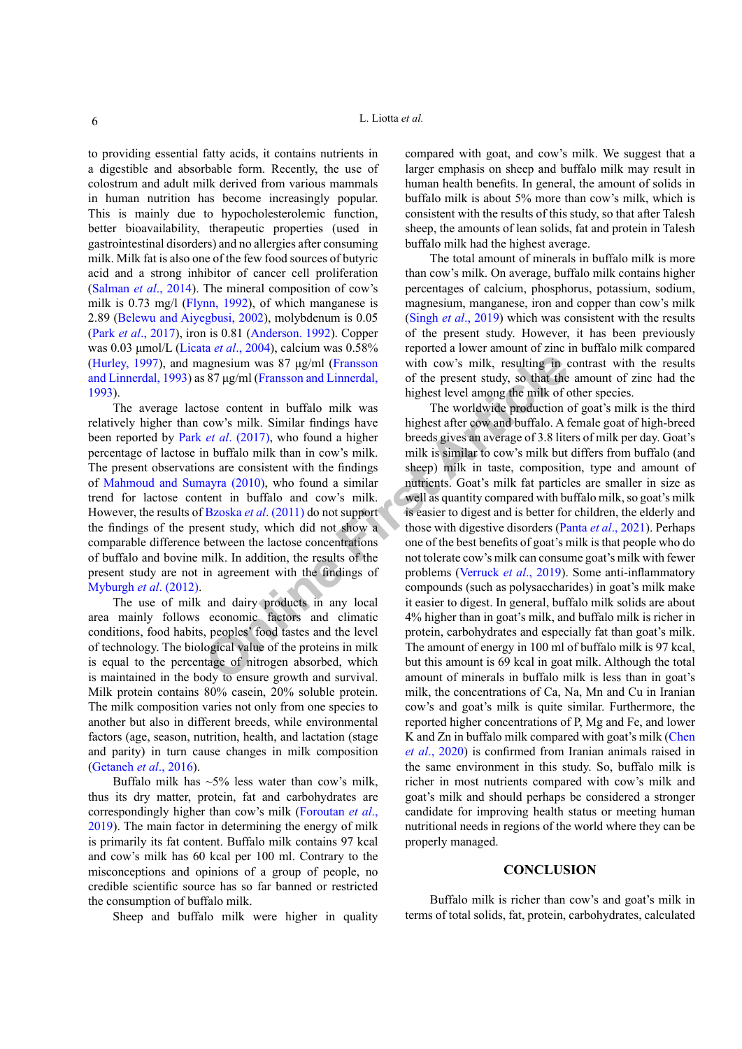to providing essential fatty acids, it contains nutrients in a digestible and absorbable form. Recently, the use of colostrum and adult milk derived from various mammals in human nutrition has become increasingly popular. This is mainly due to hypocholesterolemic function, better bioavailability, therapeutic properties (used in gastrointestinal disorders) and no allergies after consuming milk. Milk fat is also one of the few food sources of butyric acid and a strong inhibitor of cancer cell proliferation [\(Salman](#page-7-9) *et al*., 2014). The mineral composition of cow's milk is 0.73 mg/l ([Flynn, 1992](#page-6-7)), of which manganese is 2.89 ([Belewu and Aiyegbusi, 2002\)](#page-6-8), molybdenum is 0.05 (Park *et al*[., 2017\)](#page-7-6), iron is 0.81 [\(Anderson. 1992](#page-6-9)). Copper was 0.03 μmol/L (Licata *et al*[., 2004](#page-6-10)), calcium was 0.58% [\(Hurley, 1997](#page-6-11)), and magnesium was 87 μg/ml (Fransson and Linnerdal, 1993) as 87 μg/ml (Fransson and Linnerdal, 1993).

The average lactose content in buffalo milk was relatively higher than cow's milk. Similar findings have been reported by Park *et al*. (2017), who found a higher percentage of lactose in buffalo milk than in cow's milk. The present observations are consistent with the findings of [Mahmoud and Sumayra \(2010\)](#page-7-8), who found a similar trend for lactose content in buffalo and cow's milk. However, the results of Bzoska *et al*. (2011) do not support the findings of the present study, which did not show a comparable difference between the lactose concentrations of buffalo and bovine milk. In addition, the results of the present study are not in agreement with the findings of [Myburgh](#page-7-12) *et al*. (2012).

The use of milk and dairy products in any local area mainly follows economic factors and climatic conditions, food habits, peoples' food tastes and the level of technology. The biological value of the proteins in milk is equal to the percentage of nitrogen absorbed, which is maintained in the body to ensure growth and survival. Milk protein contains 80% casein, 20% soluble protein. The milk composition varies not only from one species to another but also in different breeds, while environmental factors (age, season, nutrition, health, and lactation (stage and parity) in turn cause changes in milk composition [\(Getaneh](#page-6-13) *et al*., 2016).

Buffalo milk has  $\sim$ 5% less water than cow's milk, thus its dry matter, protein, fat and carbohydrates are correspondingly higher than cow's milk ([Foroutan](#page-6-14) *et al*., [2019\)](#page-6-14). The main factor in determining the energy of milk is primarily its fat content. Buffalo milk contains 97 kcal and cow's milk has 60 kcal per 100 ml. Contrary to the misconceptions and opinions of a group of people, no credible scientific source has so far banned or restricted the consumption of buffalo milk.

Sheep and buffalo milk were higher in quality

compared with goat, and cow's milk. We suggest that a larger emphasis on sheep and buffalo milk may result in human health benefits. In general, the amount of solids in buffalo milk is about 5% more than cow's milk, which is consistent with the results of this study, so that after Talesh sheep, the amounts of lean solids, fat and protein in Talesh buffalo milk had the highest average.

The total amount of minerals in buffalo milk is more than cow's milk. On average, buffalo milk contains higher percentages of calcium, phosphorus, potassium, sodium, magnesium, manganese, iron and copper than cow's milk (Singh *et al*[., 2019\)](#page-7-10) which was consistent with the results of the present study. However, it has been previously reported a lower amount of zinc in buffalo milk compared with cow's milk, resulting in contrast with the results of the present study, so that the amount of zinc had the highest level among the milk of other species.

agnesium was 87 µg/ml (Franson with cow's milk, resulting in c<br>
87 µg/ml (Franson and Linnerdal, of the present study, so that the<br>
highest level among the milk of<br>
cow's milk. Similar findings have<br> *et al.* (2017), who The worldwide production of goat's milk is the third highest after cow and buffalo. A female goat of high-breed breeds gives an average of 3.8 liters of milk per day. Goat's milk is similar to cow's milk but differs from buffalo (and sheep) milk in taste, composition, type and amount of nutrients. Goat's milk fat particles are smaller in size as well as quantity compared with buffalo milk, so goat's milk is easier to digest and is better for children, the elderly and those with digestive disorders (Panta *et al*[., 2021](#page-7-13)). Perhaps one of the best benefits of goat's milk is that people who do not tolerate cow's milk can consume goat's milk with fewer problems (Verruck *et al*., 2019). Some anti-inflammatory compounds (such as polysaccharides) in goat's milk make it easier to digest. In general, buffalo milk solids are about 4% higher than in goat's milk, and buffalo milk is richer in protein, carbohydrates and especially fat than goat's milk. The amount of energy in 100 ml of buffalo milk is 97 kcal, but this amount is 69 kcal in goat milk. Although the total amount of minerals in buffalo milk is less than in goat's milk, the concentrations of Ca, Na, Mn and Cu in Iranian cow's and goat's milk is quite similar. Furthermore, the reported higher concentrations of P, Mg and Fe, and lower K and Zn in buffalo milk compared with goat's milk ([Chen](#page-6-15) *et al*[., 2020](#page-6-15)) is confirmed from Iranian animals raised in the same environment in this study. So, buffalo milk is richer in most nutrients compared with cow's milk and goat's milk and should perhaps be considered a stronger candidate for improving health status or meeting human nutritional needs in regions of the world where they can be properly managed.

# **CONCLUSION**

Buffalo milk is richer than cow's and goat's milk in terms of total solids, fat, protein, carbohydrates, calculated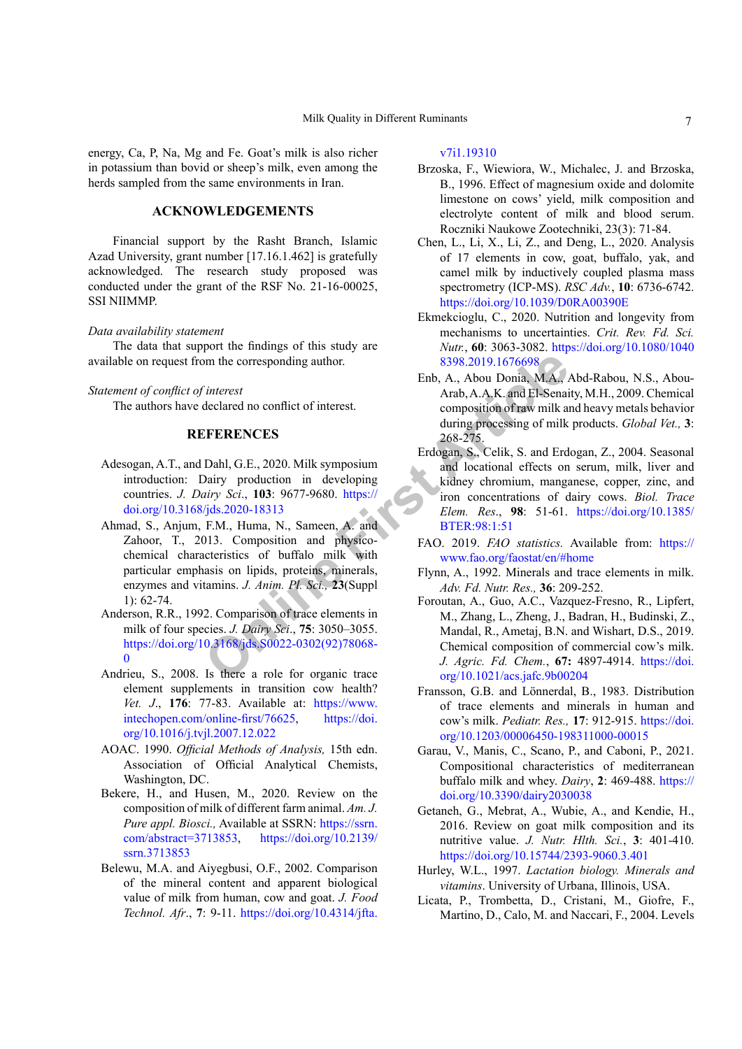energy, Ca, P, Na, Mg and Fe. Goat's milk is also richer in potassium than bovid or sheep's milk, even among the herds sampled from the same environments in Iran.

# **ACKNOWLEDGEMENTS**

Financial support by the Rasht Branch, Islamic Azad University, grant number [17.16.1.462] is gratefully acknowledged. The research study proposed was conducted under the grant of the RSF No. 21-16-00025, SSI NIIMMP.

# *Data availability statement*

The data that support the findings of this study are available on request from the corresponding author.

#### *Statement of conflict of interest*

The authors have declared no conflict of interest.

# **REFERENCES**

- <span id="page-6-4"></span><span id="page-6-3"></span>Adesogan, A.T., and Dahl, G.E., 2020. Milk symposium introduction: Dairy production in developing countries. *J. Dairy Sci*., **103**: 9677-9680. https:// [doi.org/10.3168/jds.2020-18313](https://doi.org/10.3168/jds.2020-18313)
- Find the co[r](https://doi.org/10.3168/jds.2020-18313)responding author.<br>
Find the corresponding author.<br>
Sub, A., Abou Donia, M.A.,<br>
Arab, A.A.K. and El-Senai<br>
declared no conflict of interest.<br>
The A., Abou Donia, M.A.,<br>
Arab, A.A.K. and El-Senai<br>
composition of Ahmad, S., Anjum, F.M., Huma, N., Sameen, A. and Zahoor, T., 2013. Composition and physicochemical characteristics of buffalo milk with particular emphasis on lipids, proteins, minerals, enzymes and vitamins. *J. Anim. Pl. Sci.,* **23**(Suppl 1): 62-74.
- <span id="page-6-9"></span>Anderson, R.R., 1992. Comparison of trace elements in milk of four species. *J. Dairy Sci*., **75**: 3050–3055. [https://doi.org/10.3168/jds.S0022-0302\(92\)78068-](https://doi.org/10.3168/jds.S0022-0302(92)78068-0) [0](https://doi.org/10.3168/jds.S0022-0302(92)78068-0)
- Andrieu, S., 2008. Is there a role for organic trace element supplements in transition cow health? *Vet. J*., **176**: 77-83. Available at: [https://www.](https://www.intechopen.com/online-first/76625) [intechopen.com/online-first/76625](https://www.intechopen.com/online-first/76625), [https://doi.](https://doi.org/10.1016/j.tvjl.2007.12.022) [org/10.1016/j.tvjl.2007.12.022](https://doi.org/10.1016/j.tvjl.2007.12.022)
- AOAC. 1990. *Official Methods of Analysis,* 15th edn. Association of Official Analytical Chemists, Washington, DC.
- <span id="page-6-5"></span>Bekere, H., and Husen, M., 2020. Review on the composition of milk of different farm animal. *Am. J. Pure appl. Biosci.,* Available at SSRN: [https://ssrn.](https://ssrn.com/abstract=3713853) [com/abstract=3713853](https://ssrn.com/abstract=3713853), [https://doi.org/10.2139/](https://doi.org/10.2139/ssrn.3713853) [ssrn.3713853](https://doi.org/10.2139/ssrn.3713853)
- <span id="page-6-8"></span>Belewu, M.A. and Aiyegbusi, O.F., 2002. Comparison of the mineral content and apparent biological value of milk from human, cow and goat. *J. Food Technol. Afr*., **7**: 9-11. [https://doi.org/10.4314/jfta.](https://doi.org/10.4314/jfta.v7i1.19310)

# [v7i1.19310](https://doi.org/10.4314/jfta.v7i1.19310)

- <span id="page-6-12"></span>Brzoska, F., Wiewiora, W., Michalec, J. and Brzoska, B., 1996. Effect of magnesium oxide and dolomite limestone on cows' yield, milk composition and electrolyte content of milk and blood serum. Roczniki Naukowe Zootechniki, 23(3): 71-84.
- <span id="page-6-15"></span>Chen, L., Li, X., Li, Z., and Deng, L., 2020. Analysis of 17 elements in cow, goat, buffalo, yak, and camel milk by inductively coupled plasma mass spectrometry (ICP-MS). *RSC Adv.*, **10**: 6736-6742. <https://doi.org/10.1039/D0RA00390E>
- <span id="page-6-0"></span>Ekmekcioglu, C., 2020. Nutrition and longevity from mechanisms to uncertainties. *Crit. Rev. Fd. Sci. Nutr.*, **60**: 3063-3082. [https://doi.org/10.1080/1040](https://doi.org/10.1080/10408398.2019.1676698) 8398.2019.1676698
- <span id="page-6-6"></span>Enb, A., Abou Donia, M.A., Abd-Rabou, N.S., Abou-Arab, A.A.K. and El-Senaity, M.H., 2009. Chemical composition of raw milk and heavy metals behavior during processing of milk products. *Global Vet.,* **3**: 268-275.
- Erdogan, S., Celik, S. and Erdogan, Z., 2004. Seasonal and locational effects on serum, milk, liver and kidney chromium, manganese, copper, zinc, and iron concentrations of dairy cows. *Biol. Trace Elem. Res*., **98**: 51-61. [https://doi.org/10.1385/](https://doi.org/10.1385/BTER:98:1:51) BTER:98:1:51
- <span id="page-6-2"></span>FAO. 2019. *FAO statistics.* Available from: [https://](https://www.fao.org/faostat/en/#home) www.fao.org/faostat/en/#home
- <span id="page-6-7"></span>Flynn, A., 1992. Minerals and trace elements in milk. *Adv. Fd. Nutr. Res.,* **36**: 209-252.
- <span id="page-6-14"></span>Foroutan, A., Guo, A.C., Vazquez-Fresno, R., Lipfert, M., Zhang, L., Zheng, J., Badran, H., Budinski, Z., Mandal, R., Ametaj, B.N. and Wishart, D.S., 2019. Chemical composition of commercial cow's milk. *J. Agric. Fd. Chem.*, **67:** 4897-4914. [https://doi.](https://doi.org/10.1021/acs.jafc.9b00204) [org/10.1021/acs.jafc.9b00204](https://doi.org/10.1021/acs.jafc.9b00204)
- Fransson, G.B. and Lönnerdal, B., 1983. Distribution of trace elements and minerals in human and cow's milk. *Pediatr. Res.,* **17**: 912-915. [https://doi.](https://doi.org/10.1203/00006450-198311000-00015) [org/10.1203/00006450-198311000-00015](https://doi.org/10.1203/00006450-198311000-00015)
- <span id="page-6-1"></span>Garau, V., Manis, C., Scano, P., and Caboni, P., 2021. Compositional characteristics of mediterranean buffalo milk and whey. *Dairy*, **2**: 469-488. [https://](https://doi.org/10.3390/dairy2030038) [doi.org/10.3390/dairy2030038](https://doi.org/10.3390/dairy2030038)
- <span id="page-6-13"></span>Getaneh, G., Mebrat, A., Wubie, A., and Kendie, H., 2016. Review on goat milk composition and its nutritive value. *J. Nutr. Hlth. Sci.*, **3**: 401-410. <https://doi.org/10.15744/2393-9060.3.401>
- <span id="page-6-11"></span>Hurley, W.L., 1997. *Lactation biology. Minerals and vitamins*. University of Urbana, Illinois, USA.
- <span id="page-6-10"></span>Licata, P., Trombetta, D., Cristani, M., Giofre, F., Martino, D., Calo, M. and Naccari, F., 2004. Levels